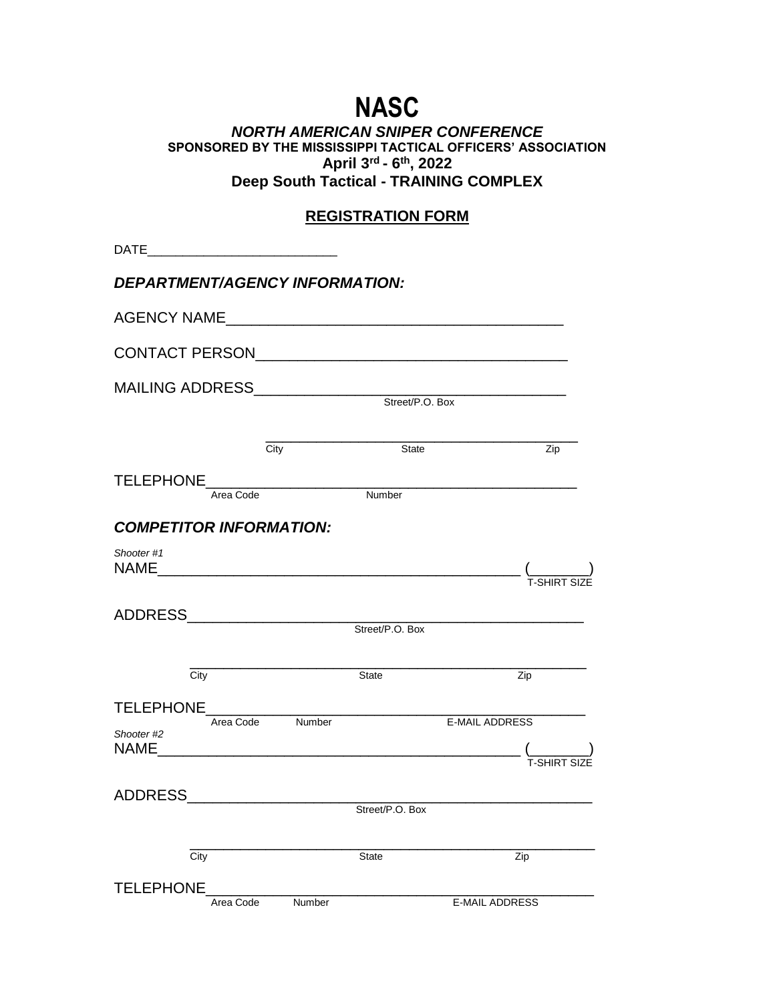# **NASC**

#### *NORTH AMERICAN SNIPER CONFERENCE* **SPONSORED BY THE MISSISSIPPI TACTICAL OFFICERS' ASSOCIATION April 3rd - 6 th, 2022 Deep South Tactical - TRAINING COMPLEX**

# **REGISTRATION FORM**

| DATE <b>DATE</b>                                                                                              |                  |        |                 |                                                                                                                                                                                                                                                                                                                                                   |  |  |
|---------------------------------------------------------------------------------------------------------------|------------------|--------|-----------------|---------------------------------------------------------------------------------------------------------------------------------------------------------------------------------------------------------------------------------------------------------------------------------------------------------------------------------------------------|--|--|
| <b>DEPARTMENT/AGENCY INFORMATION:</b>                                                                         |                  |        |                 |                                                                                                                                                                                                                                                                                                                                                   |  |  |
|                                                                                                               |                  |        |                 |                                                                                                                                                                                                                                                                                                                                                   |  |  |
|                                                                                                               |                  |        |                 |                                                                                                                                                                                                                                                                                                                                                   |  |  |
|                                                                                                               |                  |        |                 |                                                                                                                                                                                                                                                                                                                                                   |  |  |
|                                                                                                               |                  |        |                 |                                                                                                                                                                                                                                                                                                                                                   |  |  |
|                                                                                                               | City             |        | State           | Zip                                                                                                                                                                                                                                                                                                                                               |  |  |
|                                                                                                               | Area Code        |        | Number          |                                                                                                                                                                                                                                                                                                                                                   |  |  |
| <b>COMPETITOR INFORMATION:</b>                                                                                |                  |        |                 |                                                                                                                                                                                                                                                                                                                                                   |  |  |
| Shooter #1                                                                                                    |                  |        |                 | (__________)<br>T-SHIRT SIZE                                                                                                                                                                                                                                                                                                                      |  |  |
|                                                                                                               |                  |        |                 |                                                                                                                                                                                                                                                                                                                                                   |  |  |
|                                                                                                               |                  |        | Street/P.O. Box |                                                                                                                                                                                                                                                                                                                                                   |  |  |
|                                                                                                               |                  |        |                 |                                                                                                                                                                                                                                                                                                                                                   |  |  |
| City                                                                                                          |                  |        | State           | Zip                                                                                                                                                                                                                                                                                                                                               |  |  |
|                                                                                                               | Area Code Number |        |                 | <b>E-MAIL ADDRESS</b>                                                                                                                                                                                                                                                                                                                             |  |  |
| Shooter #2                                                                                                    |                  |        |                 | $\qquad \qquad$ $\qquad \qquad$ $\qquad$ $\qquad$ $\qquad$ $\qquad$ $\qquad$ $\qquad$ $\qquad$ $\qquad$ $\qquad$ $\qquad$ $\qquad$ $\qquad$ $\qquad$ $\qquad$ $\qquad$ $\qquad$ $\qquad$ $\qquad$ $\qquad$ $\qquad$ $\qquad$ $\qquad$ $\qquad$ $\qquad$ $\qquad$ $\qquad$ $\qquad$ $\qquad$ $\qquad$ $\qquad$ $\qquad$ $\qquad$ $\qquad$ $\qquad$ |  |  |
|                                                                                                               |                  |        |                 |                                                                                                                                                                                                                                                                                                                                                   |  |  |
| ADDRESS AND AND AND ANNUAL AND ANNUAL AND ANNUAL ANNUAL ANNUAL AIR ANN AN AIR AN AIR AIR AN AIR AN AIR AN AIR |                  |        | Street/P.O. Box |                                                                                                                                                                                                                                                                                                                                                   |  |  |
|                                                                                                               |                  |        |                 |                                                                                                                                                                                                                                                                                                                                                   |  |  |
| City                                                                                                          |                  |        | <b>State</b>    | Zip                                                                                                                                                                                                                                                                                                                                               |  |  |
| <b>TELEPHONE</b>                                                                                              | Area Code        | Number |                 | <b>E-MAIL ADDRESS</b>                                                                                                                                                                                                                                                                                                                             |  |  |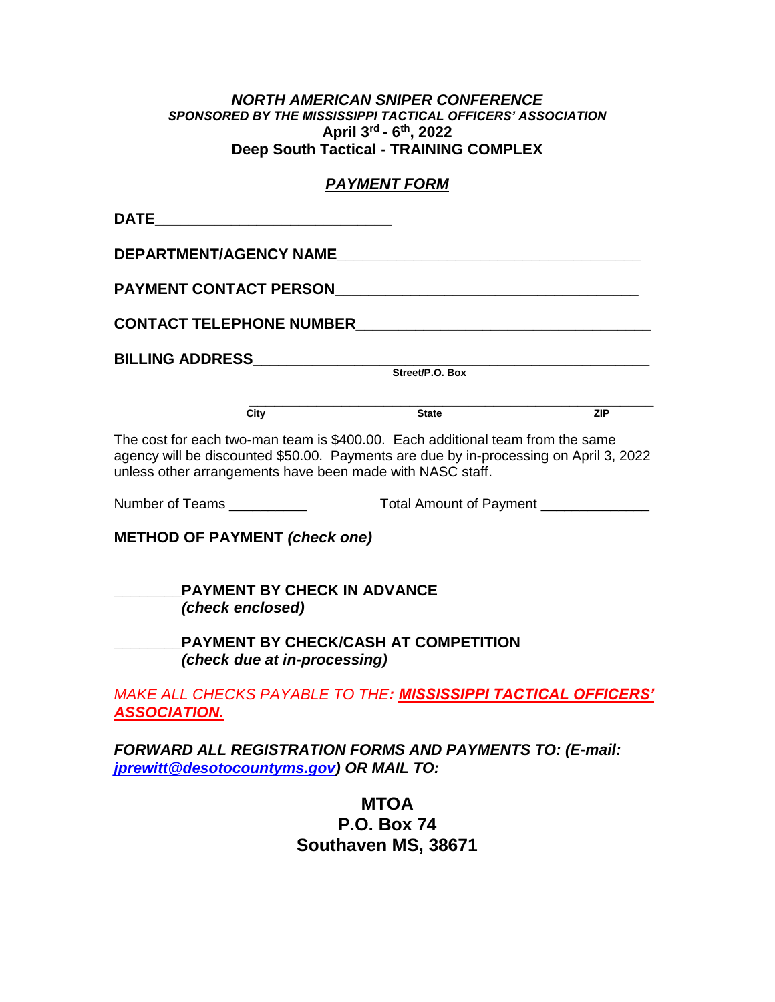#### *NORTH AMERICAN SNIPER CONFERENCE SPONSORED BY THE MISSISSIPPI TACTICAL OFFICERS' ASSOCIATION* **April 3rd - 6 th, 2022 Deep South Tactical - TRAINING COMPLEX**

## *PAYMENT FORM*

| <b>DEPARTMENT/AGENCY NAME</b>                                                                                                                                                                                                        |                                                                                                                       |     |
|--------------------------------------------------------------------------------------------------------------------------------------------------------------------------------------------------------------------------------------|-----------------------------------------------------------------------------------------------------------------------|-----|
| <b>PAYMENT CONTACT PERSON</b>                                                                                                                                                                                                        | <u> 1980 - Johann Barn, mars ann an t-Amhain Aonaich an t-Aonaich an t-Aonaich an t-Aonaich an t-Aonaich an t-Aon</u> |     |
|                                                                                                                                                                                                                                      |                                                                                                                       |     |
|                                                                                                                                                                                                                                      |                                                                                                                       |     |
|                                                                                                                                                                                                                                      |                                                                                                                       |     |
| $\overline{\text{City}}$                                                                                                                                                                                                             | State                                                                                                                 | ZIP |
| The cost for each two-man team is \$400.00. Each additional team from the same<br>agency will be discounted \$50.00. Payments are due by in-processing on April 3, 2022<br>unless other arrangements have been made with NASC staff. |                                                                                                                       |     |
| Number of Teams ___________                                                                                                                                                                                                          | Total Amount of Payment _______________                                                                               |     |
| <b>METHOD OF PAYMENT (check one)</b><br><b>PAYMENT BY CHECK IN ADVANCE</b><br>(check enclosed)                                                                                                                                       |                                                                                                                       |     |
| (check due at in-processing)                                                                                                                                                                                                         | <b>PAYMENT BY CHECK/CASH AT COMPETITION</b>                                                                           |     |
| MAKE ALL CHECKS PAYABLE TO THE: MISSISSIPPI TACTICAL OFFICERS'<br><b>ASSOCIATION.</b>                                                                                                                                                |                                                                                                                       |     |
| <b>FORWARD ALL REGISTRATION FORMS AND PAYMENTS TO: (E-mail:</b><br>jprewitt@desotocountyms.gov) OR MAIL TO:                                                                                                                          |                                                                                                                       |     |
|                                                                                                                                                                                                                                      | <b>MTOA</b><br><b>P.O. Box 74</b><br>Southaven MS, 38671                                                              |     |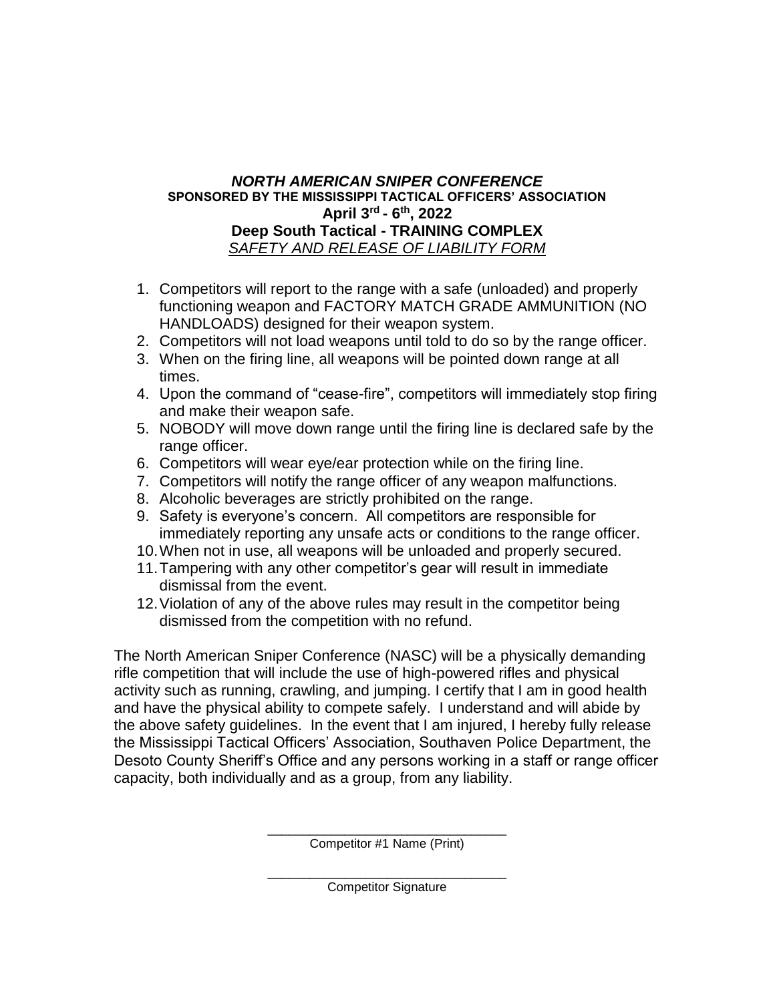## *NORTH AMERICAN SNIPER CONFERENCE* **SPONSORED BY THE MISSISSIPPI TACTICAL OFFICERS' ASSOCIATION April 3rd - 6 th, 2022 Deep South Tactical - TRAINING COMPLEX** *SAFETY AND RELEASE OF LIABILITY FORM*

- 1. Competitors will report to the range with a safe (unloaded) and properly functioning weapon and FACTORY MATCH GRADE AMMUNITION (NO HANDLOADS) designed for their weapon system.
- 2. Competitors will not load weapons until told to do so by the range officer.
- 3. When on the firing line, all weapons will be pointed down range at all times.
- 4. Upon the command of "cease-fire", competitors will immediately stop firing and make their weapon safe.
- 5. NOBODY will move down range until the firing line is declared safe by the range officer.
- 6. Competitors will wear eye/ear protection while on the firing line.
- 7. Competitors will notify the range officer of any weapon malfunctions.
- 8. Alcoholic beverages are strictly prohibited on the range.
- 9. Safety is everyone's concern. All competitors are responsible for immediately reporting any unsafe acts or conditions to the range officer.
- 10.When not in use, all weapons will be unloaded and properly secured.
- 11.Tampering with any other competitor's gear will result in immediate dismissal from the event.
- 12.Violation of any of the above rules may result in the competitor being dismissed from the competition with no refund.

The North American Sniper Conference (NASC) will be a physically demanding rifle competition that will include the use of high-powered rifles and physical activity such as running, crawling, and jumping. I certify that I am in good health and have the physical ability to compete safely. I understand and will abide by the above safety guidelines. In the event that I am injured, I hereby fully release the Mississippi Tactical Officers' Association, Southaven Police Department, the Desoto County Sheriff's Office and any persons working in a staff or range officer capacity, both individually and as a group, from any liability.

> \_\_\_\_\_\_\_\_\_\_\_\_\_\_\_\_\_\_\_\_\_\_\_\_\_\_\_\_\_\_\_\_\_\_ Competitor #1 Name (Print)

\_\_\_\_\_\_\_\_\_\_\_\_\_\_\_\_\_\_\_\_\_\_\_\_\_\_\_\_\_\_\_\_\_\_ Competitor Signature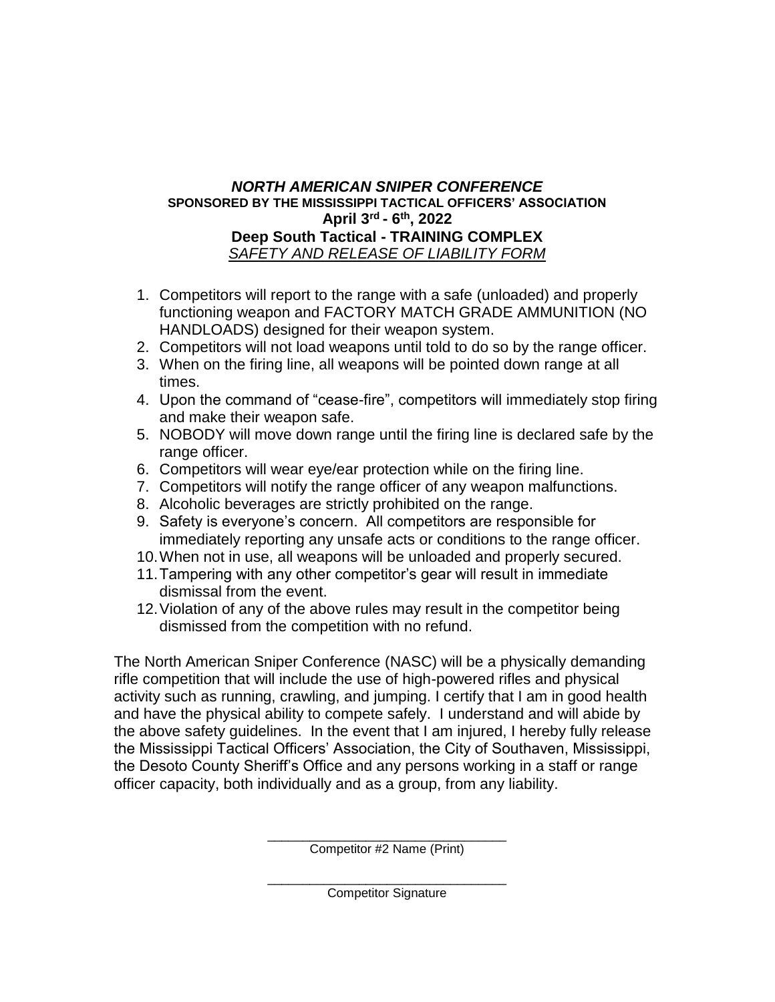## *NORTH AMERICAN SNIPER CONFERENCE* **SPONSORED BY THE MISSISSIPPI TACTICAL OFFICERS' ASSOCIATION April 3rd - 6 th, 2022 Deep South Tactical - TRAINING COMPLEX** *SAFETY AND RELEASE OF LIABILITY FORM*

- 1. Competitors will report to the range with a safe (unloaded) and properly functioning weapon and FACTORY MATCH GRADE AMMUNITION (NO HANDLOADS) designed for their weapon system.
- 2. Competitors will not load weapons until told to do so by the range officer.
- 3. When on the firing line, all weapons will be pointed down range at all times.
- 4. Upon the command of "cease-fire", competitors will immediately stop firing and make their weapon safe.
- 5. NOBODY will move down range until the firing line is declared safe by the range officer.
- 6. Competitors will wear eye/ear protection while on the firing line.
- 7. Competitors will notify the range officer of any weapon malfunctions.
- 8. Alcoholic beverages are strictly prohibited on the range.
- 9. Safety is everyone's concern. All competitors are responsible for immediately reporting any unsafe acts or conditions to the range officer.
- 10.When not in use, all weapons will be unloaded and properly secured.
- 11.Tampering with any other competitor's gear will result in immediate dismissal from the event.
- 12.Violation of any of the above rules may result in the competitor being dismissed from the competition with no refund.

The North American Sniper Conference (NASC) will be a physically demanding rifle competition that will include the use of high-powered rifles and physical activity such as running, crawling, and jumping. I certify that I am in good health and have the physical ability to compete safely. I understand and will abide by the above safety guidelines. In the event that I am injured, I hereby fully release the Mississippi Tactical Officers' Association, the City of Southaven, Mississippi, the Desoto County Sheriff's Office and any persons working in a staff or range officer capacity, both individually and as a group, from any liability.

> \_\_\_\_\_\_\_\_\_\_\_\_\_\_\_\_\_\_\_\_\_\_\_\_\_\_\_\_\_\_\_\_\_\_ Competitor #2 Name (Print)

\_\_\_\_\_\_\_\_\_\_\_\_\_\_\_\_\_\_\_\_\_\_\_\_\_\_\_\_\_\_\_\_\_\_ Competitor Signature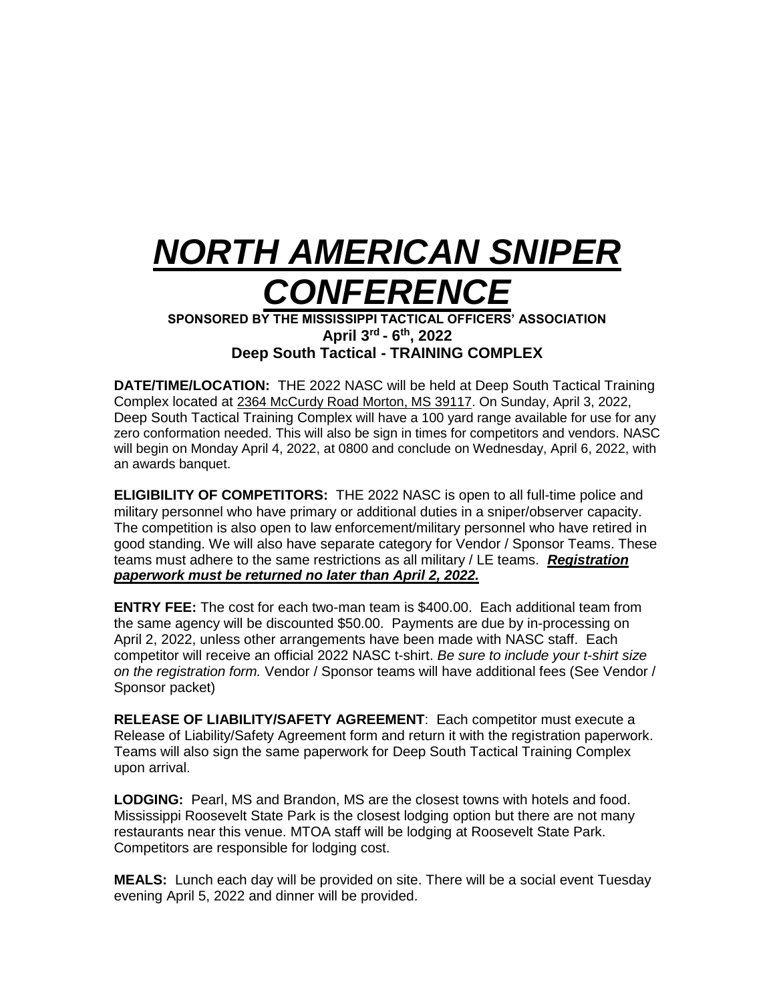# *NORTH AMERICAN SNIPER CONFERENCE*

**SPONSORED BY THE MISSISSIPPI TACTICAL OFFICERS' ASSOCIATION April 3rd - 6 th, 2022 Deep South Tactical - TRAINING COMPLEX**

**DATE/TIME/LOCATION:** THE 2022 NASC will be held at Deep South Tactical Training Complex located at 2364 McCurdy Road Morton, MS 39117. On Sunday, April 3, 2022, Deep South Tactical Training Complex will have a 100 yard range available for use for any zero conformation needed. This will also be sign in times for competitors and vendors. NASC will begin on Monday April 4, 2022, at 0800 and conclude on Wednesday, April 6, 2022, with an awards banquet.

**ELIGIBILITY OF COMPETITORS:** THE 2022 NASC is open to all full-time police and military personnel who have primary or additional duties in a sniper/observer capacity. The competition is also open to law enforcement/military personnel who have retired in good standing. We will also have separate category for Vendor / Sponsor Teams. These teams must adhere to the same restrictions as all military / LE teams. *Registration paperwork must be returned no later than April 2, 2022.*

**ENTRY FEE:** The cost for each two-man team is \$400.00. Each additional team from the same agency will be discounted \$50.00. Payments are due by in-processing on April 2, 2022, unless other arrangements have been made with NASC staff. Each competitor will receive an official 2022 NASC t-shirt. *Be sure to include your t-shirt size on the registration form.* Vendor / Sponsor teams will have additional fees (See Vendor / Sponsor packet)

**RELEASE OF LIABILITY/SAFETY AGREEMENT**: Each competitor must execute a Release of Liability/Safety Agreement form and return it with the registration paperwork. Teams will also sign the same paperwork for Deep South Tactical Training Complex upon arrival.

**LODGING:** Pearl, MS and Brandon, MS are the closest towns with hotels and food. Mississippi Roosevelt State Park is the closest lodging option but there are not many restaurants near this venue. MTOA staff will be lodging at Roosevelt State Park. Competitors are responsible for lodging cost.

**MEALS:** Lunch each day will be provided on site. There will be a social event Tuesday evening April 5, 2022 and dinner will be provided.